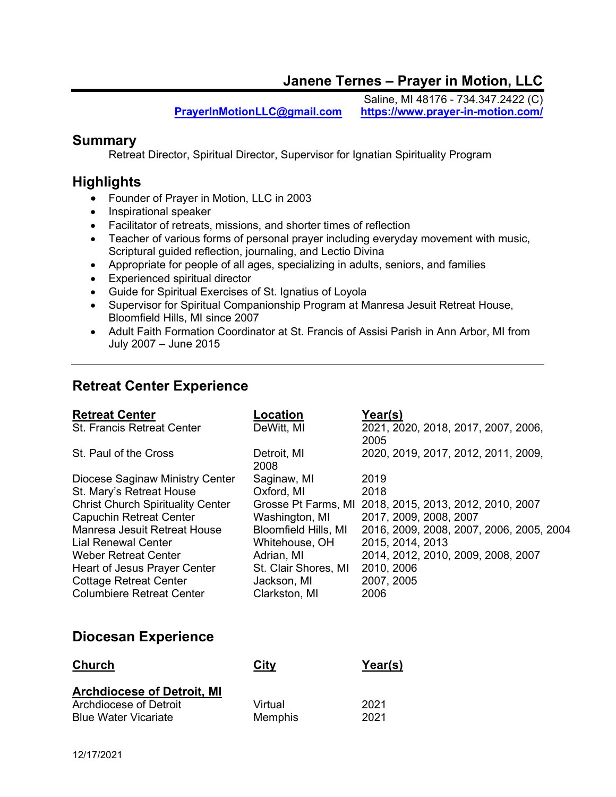## Janene Ternes – Prayer in Motion, LLC

Saline, MI 48176 - 734.347.2422 (C) PrayerInMotionLLC@gmail.com https://www.prayer-in-motion.com/

#### **Summary**

Retreat Director, Spiritual Director, Supervisor for Ignatian Spirituality Program

#### **Highlights**

- Founder of Prayer in Motion, LLC in 2003
- Inspirational speaker
- Facilitator of retreats, missions, and shorter times of reflection
- Teacher of various forms of personal prayer including everyday movement with music, Scriptural guided reflection, journaling, and Lectio Divina
- Appropriate for people of all ages, specializing in adults, seniors, and families
- Experienced spiritual director
- Guide for Spiritual Exercises of St. Ignatius of Loyola
- Supervisor for Spiritual Companionship Program at Manresa Jesuit Retreat House, Bloomfield Hills, MI since 2007
- Adult Faith Formation Coordinator at St. Francis of Assisi Parish in Ann Arbor, MI from July 2007 – June 2015

## Retreat Center Experience

| <b>Retreat Center</b>                    | Location             | Year(s)                                                |
|------------------------------------------|----------------------|--------------------------------------------------------|
| <b>St. Francis Retreat Center</b>        | DeWitt, MI           | 2021, 2020, 2018, 2017, 2007, 2006,<br>2005            |
| St. Paul of the Cross                    | Detroit, MI<br>2008  | 2020, 2019, 2017, 2012, 2011, 2009,                    |
| Diocese Saginaw Ministry Center          | Saginaw, MI          | 2019                                                   |
| St. Mary's Retreat House                 | Oxford, MI           | 2018                                                   |
| <b>Christ Church Spirituality Center</b> |                      | Grosse Pt Farms, MI 2018, 2015, 2013, 2012, 2010, 2007 |
| <b>Capuchin Retreat Center</b>           | Washington, MI       | 2017, 2009, 2008, 2007                                 |
| Manresa Jesuit Retreat House             | Bloomfield Hills, MI | 2016, 2009, 2008, 2007, 2006, 2005, 2004               |
| <b>Lial Renewal Center</b>               | Whitehouse, OH       | 2015, 2014, 2013                                       |
| <b>Weber Retreat Center</b>              | Adrian, MI           | 2014, 2012, 2010, 2009, 2008, 2007                     |
| Heart of Jesus Prayer Center             | St. Clair Shores, MI | 2010, 2006                                             |
| <b>Cottage Retreat Center</b>            | Jackson, MI          | 2007, 2005                                             |
| <b>Columbiere Retreat Center</b>         | Clarkston, MI        | 2006                                                   |

### Diocesan Experience

| <b>Church</b>                     | City           | Year(s) |
|-----------------------------------|----------------|---------|
| <b>Archdiocese of Detroit, MI</b> |                |         |
| Archdiocese of Detroit            | Virtual        | 2021    |
| <b>Blue Water Vicariate</b>       | <b>Memphis</b> | 2021    |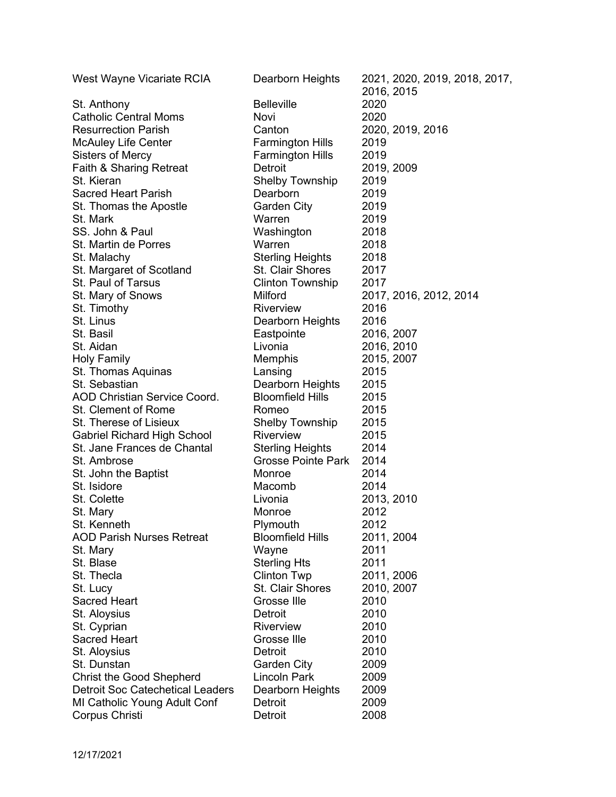| West Wayne Vicariate RCIA               | Dearborn Heights          | 2021, 2020, 2019, 2018, 2017, |
|-----------------------------------------|---------------------------|-------------------------------|
|                                         |                           | 2016, 2015                    |
| St. Anthony                             | <b>Belleville</b>         | 2020                          |
| <b>Catholic Central Moms</b>            | Novi                      | 2020                          |
| <b>Resurrection Parish</b>              | Canton                    | 2020, 2019, 2016              |
| <b>McAuley Life Center</b>              | <b>Farmington Hills</b>   | 2019                          |
| <b>Sisters of Mercy</b>                 | <b>Farmington Hills</b>   | 2019                          |
| Faith & Sharing Retreat                 | Detroit                   | 2019, 2009                    |
| St. Kieran                              | <b>Shelby Township</b>    | 2019                          |
| <b>Sacred Heart Parish</b>              | Dearborn                  | 2019                          |
| St. Thomas the Apostle                  | <b>Garden City</b>        | 2019                          |
| St. Mark                                | Warren                    | 2019                          |
| SS. John & Paul                         | Washington                | 2018                          |
| St. Martin de Porres                    | Warren                    | 2018                          |
| St. Malachy                             | <b>Sterling Heights</b>   | 2018                          |
| St. Margaret of Scotland                | St. Clair Shores          | 2017                          |
| St. Paul of Tarsus                      | <b>Clinton Township</b>   | 2017                          |
| St. Mary of Snows                       | Milford                   | 2017, 2016, 2012, 2014        |
| St. Timothy                             | <b>Riverview</b>          | 2016                          |
| St. Linus                               | Dearborn Heights          | 2016                          |
| St. Basil                               | Eastpointe                | 2016, 2007                    |
| St. Aidan                               | Livonia                   | 2016, 2010                    |
| <b>Holy Family</b>                      | Memphis                   | 2015, 2007                    |
| St. Thomas Aquinas                      | Lansing                   | 2015                          |
| St. Sebastian                           | Dearborn Heights          | 2015                          |
| <b>AOD Christian Service Coord.</b>     | <b>Bloomfield Hills</b>   | 2015                          |
| St. Clement of Rome                     | Romeo                     | 2015                          |
| St. Therese of Lisieux                  | <b>Shelby Township</b>    | 2015                          |
| <b>Gabriel Richard High School</b>      | Riverview                 | 2015                          |
| St. Jane Frances de Chantal             | <b>Sterling Heights</b>   | 2014                          |
| St. Ambrose                             | <b>Grosse Pointe Park</b> | 2014                          |
| St. John the Baptist                    | Monroe                    | 2014                          |
| St. Isidore                             | Macomb                    | 2014                          |
| St. Colette                             | Livonia                   | 2013, 2010                    |
| St. Mary                                | Monroe                    | 2012                          |
| St. Kenneth                             | Plymouth                  | 2012                          |
| <b>AOD Parish Nurses Retreat</b>        | <b>Bloomfield Hills</b>   | 2011, 2004                    |
| St. Mary                                | Wayne                     | 2011                          |
| St. Blase                               | <b>Sterling Hts</b>       | 2011                          |
| St. Thecla                              | <b>Clinton Twp</b>        | 2011, 2006                    |
| St. Lucy                                | St. Clair Shores          | 2010, 2007                    |
| <b>Sacred Heart</b>                     | Grosse Ille               | 2010                          |
| St. Aloysius                            | Detroit                   | 2010                          |
| St. Cyprian                             | Riverview                 | 2010                          |
| <b>Sacred Heart</b>                     | Grosse Ille               | 2010                          |
| St. Aloysius                            | Detroit                   | 2010                          |
| St. Dunstan                             | <b>Garden City</b>        | 2009                          |
|                                         | <b>Lincoln Park</b>       |                               |
| <b>Christ the Good Shepherd</b>         |                           | 2009                          |
| <b>Detroit Soc Catechetical Leaders</b> | Dearborn Heights          | 2009                          |
| MI Catholic Young Adult Conf            | Detroit                   | 2009                          |
| Corpus Christi                          | Detroit                   | 2008                          |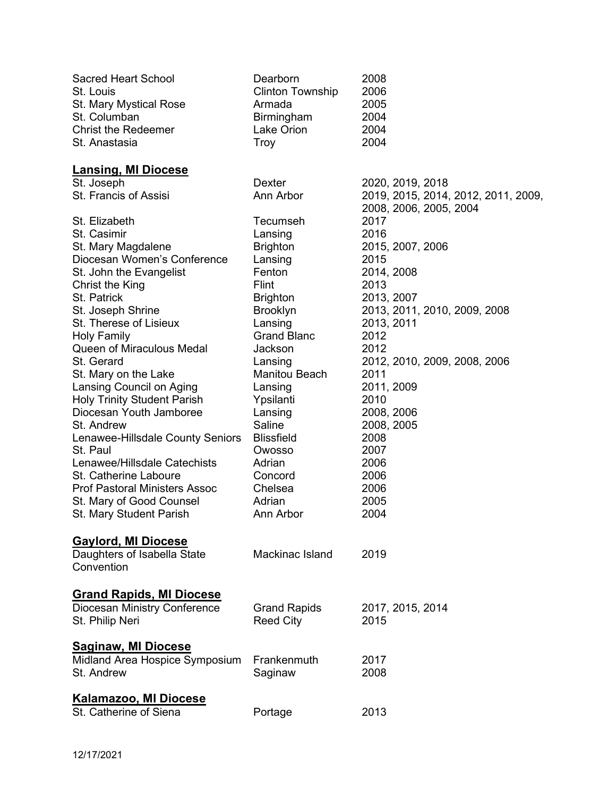| <b>Sacred Heart School</b>                                | Dearborn                | 2008                                |
|-----------------------------------------------------------|-------------------------|-------------------------------------|
| St. Louis                                                 | <b>Clinton Township</b> | 2006                                |
| St. Mary Mystical Rose                                    | Armada                  | 2005                                |
| St. Columban                                              | Birmingham              | 2004                                |
| <b>Christ the Redeemer</b>                                | Lake Orion              | 2004                                |
| St. Anastasia                                             | Troy                    | 2004                                |
|                                                           |                         |                                     |
| <b>Lansing, MI Diocese</b>                                |                         |                                     |
| St. Joseph                                                | Dexter                  | 2020, 2019, 2018                    |
| St. Francis of Assisi                                     | Ann Arbor               | 2019, 2015, 2014, 2012, 2011, 2009, |
|                                                           |                         | 2008, 2006, 2005, 2004              |
| St. Elizabeth                                             | Tecumseh                | 2017                                |
| St. Casimir                                               | Lansing                 | 2016                                |
| St. Mary Magdalene                                        | <b>Brighton</b>         | 2015, 2007, 2006                    |
| Diocesan Women's Conference                               | Lansing                 | 2015                                |
| St. John the Evangelist                                   | Fenton                  | 2014, 2008                          |
| Christ the King                                           | <b>Flint</b>            | 2013                                |
| St. Patrick                                               | <b>Brighton</b>         | 2013, 2007                          |
| St. Joseph Shrine                                         | <b>Brooklyn</b>         | 2013, 2011, 2010, 2009, 2008        |
| St. Therese of Lisieux                                    | Lansing                 | 2013, 2011                          |
| <b>Holy Family</b>                                        | <b>Grand Blanc</b>      | 2012                                |
| <b>Queen of Miraculous Medal</b>                          | Jackson                 | 2012                                |
| St. Gerard                                                | Lansing                 | 2012, 2010, 2009, 2008, 2006        |
| St. Mary on the Lake                                      | Manitou Beach           | 2011                                |
| Lansing Council on Aging                                  | Lansing                 | 2011, 2009                          |
| <b>Holy Trinity Student Parish</b>                        | Ypsilanti               | 2010                                |
| Diocesan Youth Jamboree                                   | Lansing                 | 2008, 2006                          |
| St. Andrew                                                | Saline                  | 2008, 2005                          |
| Lenawee-Hillsdale County Seniors                          | <b>Blissfield</b>       | 2008                                |
| St. Paul                                                  | Owosso                  | 2007                                |
| Lenawee/Hillsdale Catechists                              | Adrian                  | 2006                                |
| St. Catherine Laboure                                     | Concord                 | 2006                                |
| <b>Prof Pastoral Ministers Assoc</b>                      | Chelsea                 | 2006                                |
| St. Mary of Good Counsel                                  | Adrian                  | 2005                                |
| St. Mary Student Parish                                   | Ann Arbor               | 2004                                |
|                                                           |                         |                                     |
|                                                           |                         |                                     |
| <b>Gaylord, MI Diocese</b><br>Daughters of Isabella State | Mackinac Island         | 2019                                |
| Convention                                                |                         |                                     |
|                                                           |                         |                                     |
|                                                           |                         |                                     |
| <b>Grand Rapids, MI Diocese</b>                           |                         |                                     |
| Diocesan Ministry Conference                              | <b>Grand Rapids</b>     | 2017, 2015, 2014                    |
| St. Philip Neri                                           | <b>Reed City</b>        | 2015                                |
| <b>Saginaw, MI Diocese</b>                                |                         |                                     |
| Midland Area Hospice Symposium                            | Frankenmuth             | 2017                                |
| St. Andrew                                                | Saginaw                 | 2008                                |
|                                                           |                         |                                     |
| <b>Kalamazoo, MI Diocese</b>                              |                         |                                     |
| St. Catherine of Siena                                    | Portage                 | 2013                                |
|                                                           |                         |                                     |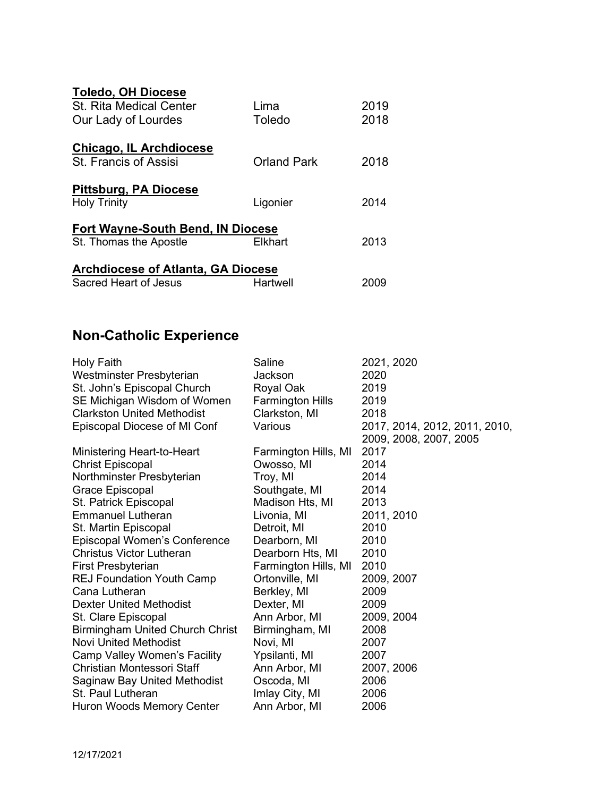| <b>Toledo, OH Diocese</b>                 |             |      |
|-------------------------------------------|-------------|------|
| <b>St. Rita Medical Center</b>            | I ima       | 2019 |
| Our Lady of Lourdes                       | Toledo      | 2018 |
| <b>Chicago, IL Archdiocese</b>            |             |      |
| St. Francis of Assisi                     | Orland Park | 2018 |
| Pittsburg, PA Diocese                     |             |      |
| <b>Holy Trinity</b>                       | Ligonier    | 2014 |
| <b>Fort Wayne-South Bend, IN Diocese</b>  |             |      |
| St. Thomas the Apostle                    | Elkhart     | 2013 |
| <b>Archdiocese of Atlanta, GA Diocese</b> |             |      |
| Sacred Heart of Jesus                     | Hartwell    | 2009 |

## Non-Catholic Experience

| Holy Faith                             | Saline                  | 2021, 2020                    |
|----------------------------------------|-------------------------|-------------------------------|
| Westminster Presbyterian               | Jackson                 | 2020                          |
| St. John's Episcopal Church            | Royal Oak               | 2019                          |
| SE Michigan Wisdom of Women            | <b>Farmington Hills</b> | 2019                          |
| <b>Clarkston United Methodist</b>      | Clarkston, MI           | 2018                          |
| Episcopal Diocese of MI Conf           | Various                 | 2017, 2014, 2012, 2011, 2010, |
|                                        |                         | 2009, 2008, 2007, 2005        |
| Ministering Heart-to-Heart             | Farmington Hills, MI    | 2017                          |
| <b>Christ Episcopal</b>                | Owosso, MI              | 2014                          |
| Northminster Presbyterian              | Troy, MI                | 2014                          |
| Grace Episcopal                        | Southgate, MI           | 2014                          |
| St. Patrick Episcopal                  | Madison Hts, MI         | 2013                          |
| <b>Emmanuel Lutheran</b>               | Livonia, MI             | 2011, 2010                    |
| St. Martin Episcopal                   | Detroit, MI             | 2010                          |
| Episcopal Women's Conference           | Dearborn, MI            | 2010                          |
| <b>Christus Victor Lutheran</b>        | Dearborn Hts, MI        | 2010                          |
| <b>First Presbyterian</b>              | Farmington Hills, MI    | 2010                          |
| <b>REJ Foundation Youth Camp</b>       | Ortonville, MI          | 2009, 2007                    |
| Cana Lutheran                          | Berkley, MI             | 2009                          |
| <b>Dexter United Methodist</b>         | Dexter, MI              | 2009                          |
| St. Clare Episcopal                    | Ann Arbor, MI           | 2009, 2004                    |
| <b>Birmingham United Church Christ</b> | Birmingham, MI          | 2008                          |
| <b>Novi United Methodist</b>           | Novi, MI                | 2007                          |
| <b>Camp Valley Women's Facility</b>    | Ypsilanti, MI           | 2007                          |
| <b>Christian Montessori Staff</b>      | Ann Arbor, MI           | 2007, 2006                    |
| Saginaw Bay United Methodist           | Oscoda, MI              | 2006                          |
| St. Paul Lutheran                      | Imlay City, MI          | 2006                          |
| Huron Woods Memory Center              | Ann Arbor, MI           | 2006                          |